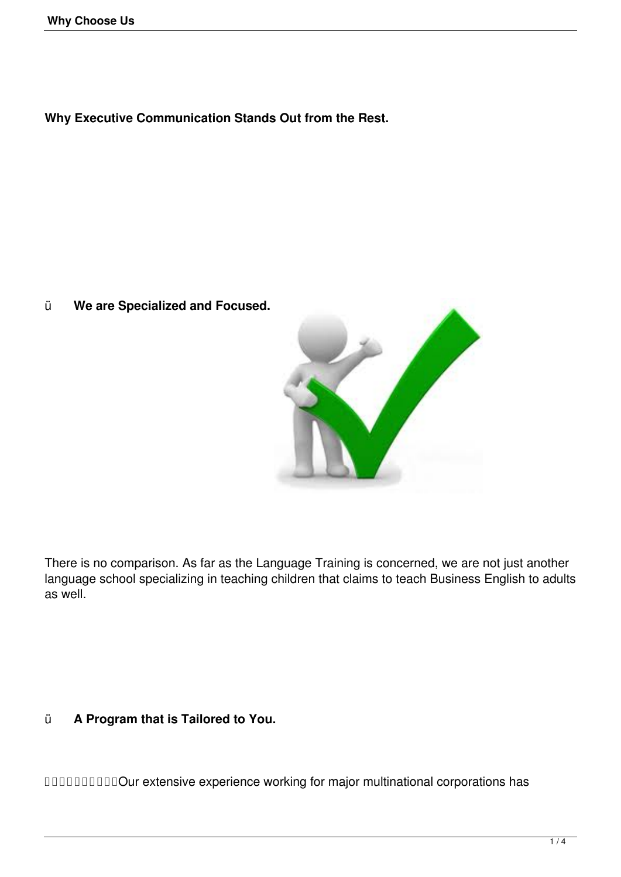**Why Executive Communication Stands Out from the Rest.**

ü **We are Specialized and Focused.** 



There is no comparison. As far as the Language Training is concerned, we are not just another language school specializing in teaching children that claims to teach Business English to adults as well.

ü **A Program that is Tailored to You.**

Our extensive experience working for major multinational corporations has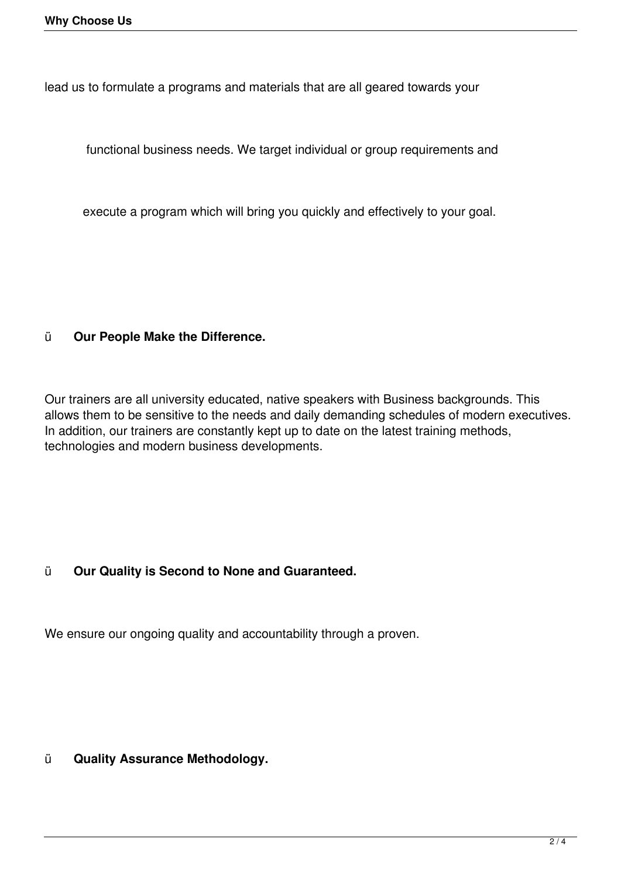lead us to formulate a programs and materials that are all geared towards your

functional business needs. We target individual or group requirements and

execute a program which will bring you quickly and effectively to your goal.

## ü **Our People Make the Difference.**

Our trainers are all university educated, native speakers with Business backgrounds. This allows them to be sensitive to the needs and daily demanding schedules of modern executives. In addition, our trainers are constantly kept up to date on the latest training methods, technologies and modern business developments.

## ü **Our Quality is Second to None and Guaranteed.**

We ensure our ongoing quality and accountability through a proven.

ü **Quality Assurance Methodology.**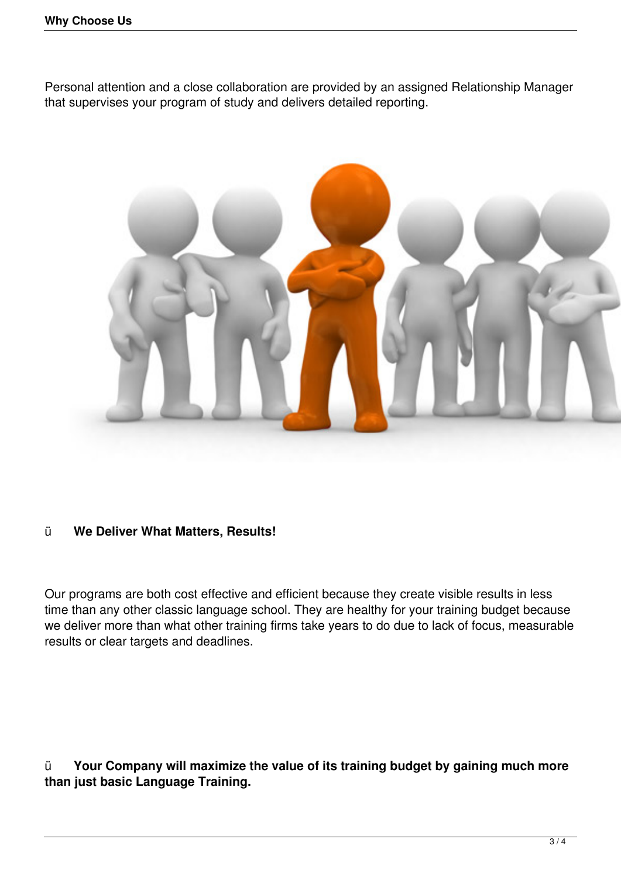Personal attention and a close collaboration are provided by an assigned Relationship Manager that supervises your program of study and delivers detailed reporting.



## ü **We Deliver What Matters, Results!**

Our programs are both cost effective and efficient because they create visible results in less time than any other classic language school. They are healthy for your training budget because we deliver more than what other training firms take years to do due to lack of focus, measurable results or clear targets and deadlines.

ü **Your Company will maximize the value of its training budget by gaining much more than just basic Language Training.**